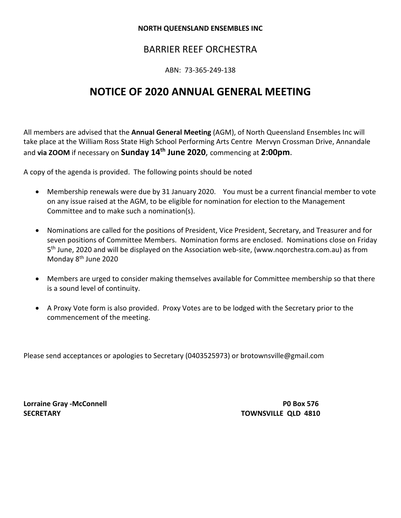#### **NORTH QUEENSLAND ENSEMBLES INC**

# BARRIER REEF ORCHESTRA

ABN: 73-365-249-138

# **NOTICE OF 2020 ANNUAL GENERAL MEETING**

All members are advised that the **Annual General Meeting** (AGM), of North Queensland Ensembles Inc will take place at the William Ross State High School Performing Arts Centre Mervyn Crossman Drive, Annandale and **via ZOOM** if necessary on **Sunday 14th June 2020**, commencing at **2:00pm**.

A copy of the agenda is provided. The following points should be noted

- Membership renewals were due by 31 January 2020. You must be a current financial member to vote on any issue raised at the AGM, to be eligible for nomination for election to the Management Committee and to make such a nomination(s).
- Nominations are called for the positions of President, Vice President, Secretary, and Treasurer and for seven positions of Committee Members. Nomination forms are enclosed. Nominations close on Friday 5th June, 2020 and will be displayed on the Association web-site, (www.nqorchestra.com.au) as from Monday 8th June 2020
- Members are urged to consider making themselves available for Committee membership so that there is a sound level of continuity.
- A Proxy Vote form is also provided. Proxy Votes are to be lodged with the Secretary prior to the commencement of the meeting.

Please send acceptances or apologies to Secretary (0403525973) or brotownsville@gmail.com

**Lorraine Gray -McConnell P0 Box 576 SECRETARY TOWNSVILLE QLD 4810**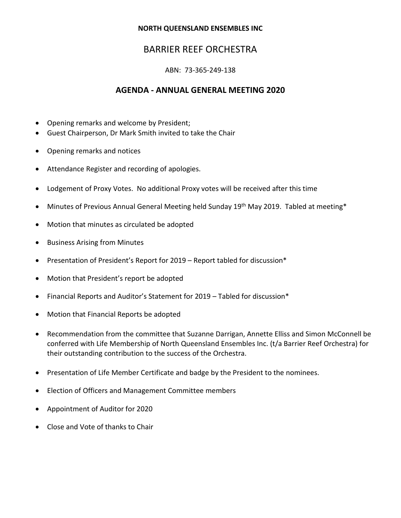#### **NORTH QUEENSLAND ENSEMBLES INC**

# BARRIER REEF ORCHESTRA

## ABN: 73-365-249-138

## **AGENDA - ANNUAL GENERAL MEETING 2020**

- Opening remarks and welcome by President;
- Guest Chairperson, Dr Mark Smith invited to take the Chair
- Opening remarks and notices
- Attendance Register and recording of apologies.
- Lodgement of Proxy Votes. No additional Proxy votes will be received after this time
- Minutes of Previous Annual General Meeting held Sunday 19<sup>th</sup> May 2019. Tabled at meeting\*
- Motion that minutes as circulated be adopted
- Business Arising from Minutes
- Presentation of President's Report for 2019 Report tabled for discussion\*
- Motion that President's report be adopted
- Financial Reports and Auditor's Statement for 2019 Tabled for discussion\*
- Motion that Financial Reports be adopted
- Recommendation from the committee that Suzanne Darrigan, Annette Elliss and Simon McConnell be conferred with Life Membership of North Queensland Ensembles Inc. (t/a Barrier Reef Orchestra) for their outstanding contribution to the success of the Orchestra.
- Presentation of Life Member Certificate and badge by the President to the nominees.
- Election of Officers and Management Committee members
- Appointment of Auditor for 2020
- Close and Vote of thanks to Chair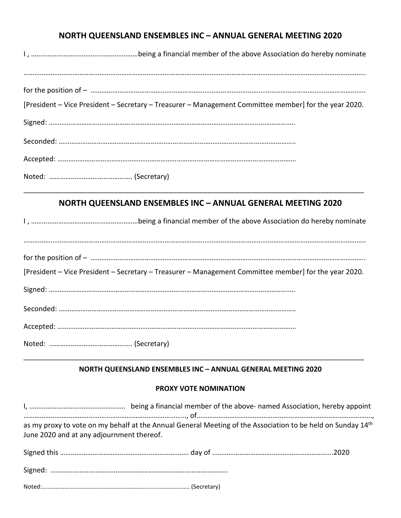# **NORTH QUEENSLAND ENSEMBLES INC – ANNUAL GENERAL MEETING 2020**

| [President – Vice President – Secretary – Treasurer – Management Committee member] for the year 2020. |
|-------------------------------------------------------------------------------------------------------|
|                                                                                                       |
|                                                                                                       |
|                                                                                                       |
|                                                                                                       |

## **NORTH QUEENSLAND ENSEMBLES INC – ANNUAL GENERAL MEETING 2020**

\_\_\_\_\_\_\_\_\_\_\_\_\_\_\_\_\_\_\_\_\_\_\_\_\_\_\_\_\_\_\_\_\_\_\_\_\_\_\_\_\_\_\_\_\_\_\_\_\_\_\_\_\_\_\_\_\_\_\_\_\_\_\_\_\_\_\_\_\_\_\_\_\_\_\_\_\_\_\_\_\_\_\_\_\_\_\_

| [President – Vice President – Secretary – Treasurer – Management Committee member] for the year 2020. |
|-------------------------------------------------------------------------------------------------------|
|                                                                                                       |
|                                                                                                       |
|                                                                                                       |
|                                                                                                       |

## **NORTH QUEENSLAND ENSEMBLES INC – ANNUAL GENERAL MEETING 2020**

\_\_\_\_\_\_\_\_\_\_\_\_\_\_\_\_\_\_\_\_\_\_\_\_\_\_\_\_\_\_\_\_\_\_\_\_\_\_\_\_\_\_\_\_\_\_\_\_\_\_\_\_\_\_\_\_\_\_\_\_\_\_\_\_\_\_\_\_\_\_\_\_\_\_\_\_\_\_\_\_\_\_\_\_\_\_\_

### **PROXY VOTE NOMINATION**

| as my proxy to vote on my behalf at the Annual General Meeting of the Association to be held on Sunday 14th<br>June 2020 and at any adjournment thereof. |  |  |  |
|----------------------------------------------------------------------------------------------------------------------------------------------------------|--|--|--|
|                                                                                                                                                          |  |  |  |
|                                                                                                                                                          |  |  |  |
|                                                                                                                                                          |  |  |  |